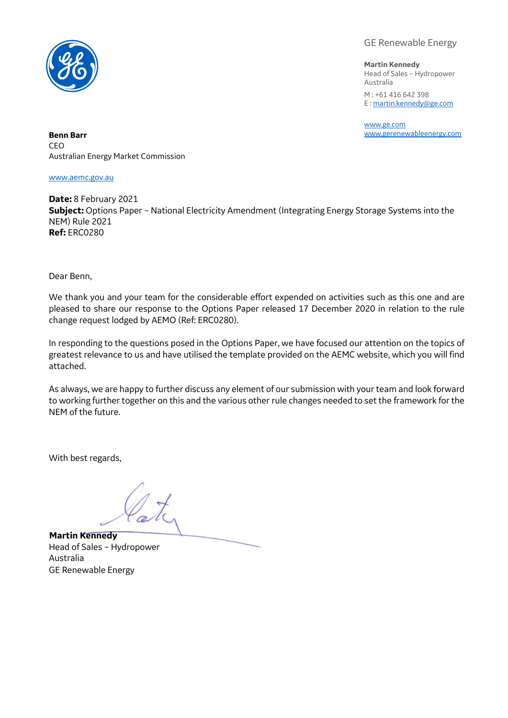

GE Renewable Energy

**Martin Kennedy** Head of Sales – Hydropower Australia M : +61 416 642 398 E [: martin.kennedy@ge.com](mailto:martin.kennedy@ge.com)

[www.ge.com](http://www.ge.com/)

**Benn Barr** [www.gerenewableenergy.com](http://www.gerenewableenergy.com/) CEO Australian Energy Market Commission

[www.aemc.gov.au](http://www.aemc.gov.au/)

**Date:** 8 February 2021 **Subject:** Options Paper – National Electricity Amendment (Integrating Energy Storage Systems into the NEM) Rule 2021 **Ref:** ERC0280

Dear Benn,

We thank you and your team for the considerable effort expended on activities such as this one and are pleased to share our response to the Options Paper released 17 December 2020 in relation to the rule change request lodged by AEMO (Ref: ERC0280).

In responding to the questions posed in the Options Paper, we have focused our attention on the topics of greatest relevance to us and have utilised the template provided on the AEMC website, which you will find attached.

As always, we are happy to further discuss any element of our submission with your team and look forward to working further together on this and the various other rule changes needed to set the framework for the NEM of the future.

With best regards,

**Martin Kennedy** Head of Sales – Hydropower Australia GE Renewable Energy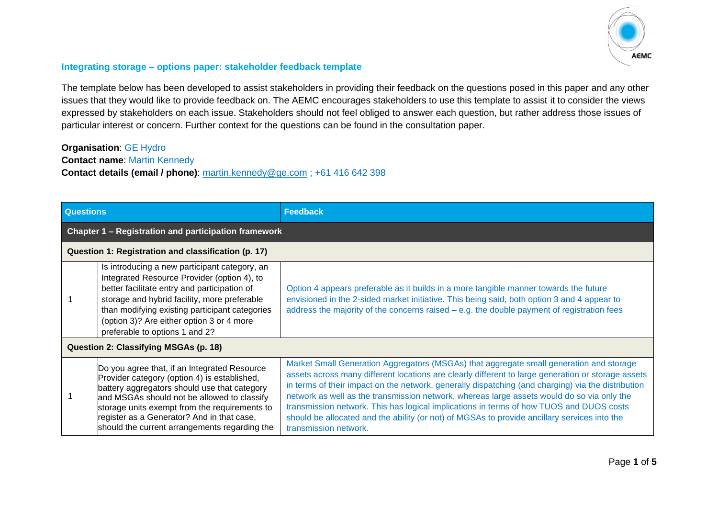

## **Integrating storage – options paper: stakeholder feedback template**

The template below has been developed to assist stakeholders in providing their feedback on the questions posed in this paper and any other issues that they would like to provide feedback on. The AEMC encourages stakeholders to use this template to assist it to consider the views expressed by stakeholders on each issue. Stakeholders should not feel obliged to answer each question, but rather address those issues of particular interest or concern. Further context for the questions can be found in the consultation paper.

## **Organisation**: GE Hydro

**Contact name**: Martin Kennedy

## **Contact details (email / phone)**: [martin.kennedy@ge.com](mailto:martin.kennedy@ge.com) ; +61 416 642 398

| <b>Questions</b>                                     |                                                                                                                                                                                                                                                                                                                                             | <b>Feedback</b>                                                                                                                                                                                                                                                                                                                                                                                                                                                                                                                                                                                                       |  |  |
|------------------------------------------------------|---------------------------------------------------------------------------------------------------------------------------------------------------------------------------------------------------------------------------------------------------------------------------------------------------------------------------------------------|-----------------------------------------------------------------------------------------------------------------------------------------------------------------------------------------------------------------------------------------------------------------------------------------------------------------------------------------------------------------------------------------------------------------------------------------------------------------------------------------------------------------------------------------------------------------------------------------------------------------------|--|--|
| Chapter 1 - Registration and participation framework |                                                                                                                                                                                                                                                                                                                                             |                                                                                                                                                                                                                                                                                                                                                                                                                                                                                                                                                                                                                       |  |  |
| Question 1: Registration and classification (p. 17)  |                                                                                                                                                                                                                                                                                                                                             |                                                                                                                                                                                                                                                                                                                                                                                                                                                                                                                                                                                                                       |  |  |
|                                                      | Is introducing a new participant category, an<br>Integrated Resource Provider (option 4), to<br>better facilitate entry and participation of<br>storage and hybrid facility, more preferable<br>than modifying existing participant categories<br>(option 3)? Are either option 3 or 4 more<br>preferable to options 1 and 2?               | Option 4 appears preferable as it builds in a more tangible manner towards the future<br>envisioned in the 2-sided market initiative. This being said, both option 3 and 4 appear to<br>address the majority of the concerns raised $-$ e.g. the double payment of registration fees                                                                                                                                                                                                                                                                                                                                  |  |  |
| Question 2: Classifying MSGAs (p. 18)                |                                                                                                                                                                                                                                                                                                                                             |                                                                                                                                                                                                                                                                                                                                                                                                                                                                                                                                                                                                                       |  |  |
|                                                      | Do you agree that, if an Integrated Resource<br>Provider category (option 4) is established,<br>battery aggregators should use that category<br>and MSGAs should not be allowed to classify<br>storage units exempt from the requirements to<br>register as a Generator? And in that case,<br>should the current arrangements regarding the | Market Small Generation Aggregators (MSGAs) that aggregate small generation and storage<br>assets across many different locations are clearly different to large generation or storage assets<br>in terms of their impact on the network, generally dispatching (and charging) via the distribution<br>network as well as the transmission network, whereas large assets would do so via only the<br>transmission network. This has logical implications in terms of how TUOS and DUOS costs<br>should be allocated and the ability (or not) of MGSAs to provide ancillary services into the<br>transmission network. |  |  |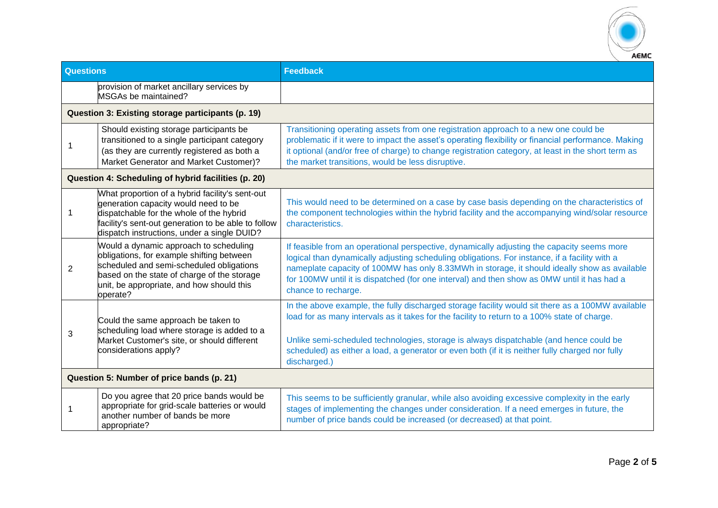

| <b>Questions</b>                                  |                                                                                                                                                                                                                                           | <b>Feedback</b>                                                                                                                                                                                                                                                                                                                                                                                                   |  |
|---------------------------------------------------|-------------------------------------------------------------------------------------------------------------------------------------------------------------------------------------------------------------------------------------------|-------------------------------------------------------------------------------------------------------------------------------------------------------------------------------------------------------------------------------------------------------------------------------------------------------------------------------------------------------------------------------------------------------------------|--|
|                                                   | provision of market ancillary services by<br>MSGAs be maintained?                                                                                                                                                                         |                                                                                                                                                                                                                                                                                                                                                                                                                   |  |
| Question 3: Existing storage participants (p. 19) |                                                                                                                                                                                                                                           |                                                                                                                                                                                                                                                                                                                                                                                                                   |  |
|                                                   | Should existing storage participants be<br>transitioned to a single participant category<br>(as they are currently registered as both a<br>Market Generator and Market Customer)?                                                         | Transitioning operating assets from one registration approach to a new one could be<br>problematic if it were to impact the asset's operating flexibility or financial performance. Making<br>it optional (and/or free of charge) to change registration category, at least in the short term as<br>the market transitions, would be less disruptive.                                                             |  |
|                                                   | Question 4: Scheduling of hybrid facilities (p. 20)                                                                                                                                                                                       |                                                                                                                                                                                                                                                                                                                                                                                                                   |  |
| 1                                                 | What proportion of a hybrid facility's sent-out<br>generation capacity would need to be<br>dispatchable for the whole of the hybrid<br>facility's sent-out generation to be able to follow<br>dispatch instructions, under a single DUID? | This would need to be determined on a case by case basis depending on the characteristics of<br>the component technologies within the hybrid facility and the accompanying wind/solar resource<br>characteristics.                                                                                                                                                                                                |  |
| $\overline{2}$                                    | Would a dynamic approach to scheduling<br>obligations, for example shifting between<br>scheduled and semi-scheduled obligations<br>based on the state of charge of the storage<br>unit, be appropriate, and how should this<br>operate?   | If feasible from an operational perspective, dynamically adjusting the capacity seems more<br>logical than dynamically adjusting scheduling obligations. For instance, if a facility with a<br>nameplate capacity of 100MW has only 8.33MWh in storage, it should ideally show as available<br>for 100MW until it is dispatched (for one interval) and then show as 0MW until it has had a<br>chance to recharge. |  |
| 3                                                 | Could the same approach be taken to<br>scheduling load where storage is added to a<br>Market Customer's site, or should different                                                                                                         | In the above example, the fully discharged storage facility would sit there as a 100MW available<br>load for as many intervals as it takes for the facility to return to a 100% state of charge.<br>Unlike semi-scheduled technologies, storage is always dispatchable (and hence could be                                                                                                                        |  |
|                                                   | considerations apply?                                                                                                                                                                                                                     | scheduled) as either a load, a generator or even both (if it is neither fully charged nor fully<br>discharged.)                                                                                                                                                                                                                                                                                                   |  |
| Question 5: Number of price bands (p. 21)         |                                                                                                                                                                                                                                           |                                                                                                                                                                                                                                                                                                                                                                                                                   |  |
| 1                                                 | Do you agree that 20 price bands would be<br>appropriate for grid-scale batteries or would<br>another number of bands be more<br>appropriate?                                                                                             | This seems to be sufficiently granular, while also avoiding excessive complexity in the early<br>stages of implementing the changes under consideration. If a need emerges in future, the<br>number of price bands could be increased (or decreased) at that point.                                                                                                                                               |  |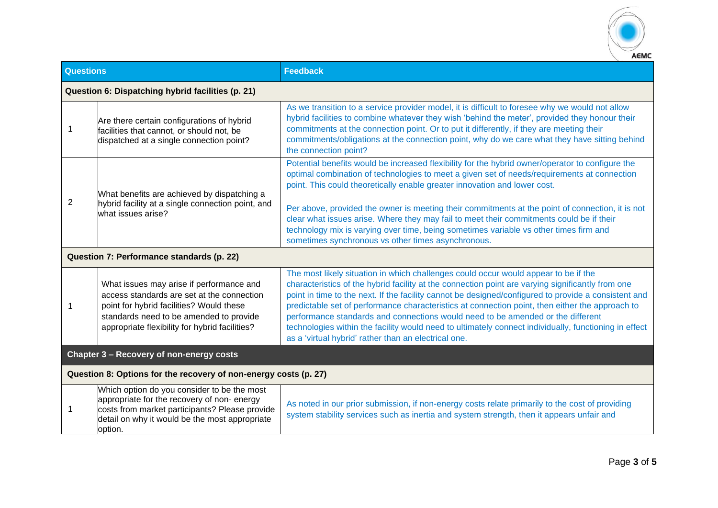

| <b>Questions</b>                                                 |                                                                                                                                                                                                                                 | <b>Feedback</b>                                                                                                                                                                                                                                                                                                                                                                                                                                                                                                                                                                                                                                         |  |  |
|------------------------------------------------------------------|---------------------------------------------------------------------------------------------------------------------------------------------------------------------------------------------------------------------------------|---------------------------------------------------------------------------------------------------------------------------------------------------------------------------------------------------------------------------------------------------------------------------------------------------------------------------------------------------------------------------------------------------------------------------------------------------------------------------------------------------------------------------------------------------------------------------------------------------------------------------------------------------------|--|--|
| Question 6: Dispatching hybrid facilities (p. 21)                |                                                                                                                                                                                                                                 |                                                                                                                                                                                                                                                                                                                                                                                                                                                                                                                                                                                                                                                         |  |  |
| 1                                                                | Are there certain configurations of hybrid<br>facilities that cannot, or should not, be<br>dispatched at a single connection point?                                                                                             | As we transition to a service provider model, it is difficult to foresee why we would not allow<br>hybrid facilities to combine whatever they wish 'behind the meter', provided they honour their<br>commitments at the connection point. Or to put it differently, if they are meeting their<br>commitments/obligations at the connection point, why do we care what they have sitting behind<br>the connection point?                                                                                                                                                                                                                                 |  |  |
| 2                                                                | What benefits are achieved by dispatching a<br>hybrid facility at a single connection point, and<br>what issues arise?                                                                                                          | Potential benefits would be increased flexibility for the hybrid owner/operator to configure the<br>optimal combination of technologies to meet a given set of needs/requirements at connection<br>point. This could theoretically enable greater innovation and lower cost.                                                                                                                                                                                                                                                                                                                                                                            |  |  |
|                                                                  |                                                                                                                                                                                                                                 | Per above, provided the owner is meeting their commitments at the point of connection, it is not<br>clear what issues arise. Where they may fail to meet their commitments could be if their<br>technology mix is varying over time, being sometimes variable vs other times firm and<br>sometimes synchronous vs other times asynchronous.                                                                                                                                                                                                                                                                                                             |  |  |
| Question 7: Performance standards (p. 22)                        |                                                                                                                                                                                                                                 |                                                                                                                                                                                                                                                                                                                                                                                                                                                                                                                                                                                                                                                         |  |  |
|                                                                  | What issues may arise if performance and<br>access standards are set at the connection<br>point for hybrid facilities? Would these<br>standards need to be amended to provide<br>appropriate flexibility for hybrid facilities? | The most likely situation in which challenges could occur would appear to be if the<br>characteristics of the hybrid facility at the connection point are varying significantly from one<br>point in time to the next. If the facility cannot be designed/configured to provide a consistent and<br>predictable set of performance characteristics at connection point, then either the approach to<br>performance standards and connections would need to be amended or the different<br>technologies within the facility would need to ultimately connect individually, functioning in effect<br>as a 'virtual hybrid' rather than an electrical one. |  |  |
| Chapter 3 - Recovery of non-energy costs                         |                                                                                                                                                                                                                                 |                                                                                                                                                                                                                                                                                                                                                                                                                                                                                                                                                                                                                                                         |  |  |
| Question 8: Options for the recovery of non-energy costs (p. 27) |                                                                                                                                                                                                                                 |                                                                                                                                                                                                                                                                                                                                                                                                                                                                                                                                                                                                                                                         |  |  |
| 1                                                                | Which option do you consider to be the most<br>appropriate for the recovery of non-energy<br>costs from market participants? Please provide<br>detail on why it would be the most appropriate<br>option.                        | As noted in our prior submission, if non-energy costs relate primarily to the cost of providing<br>system stability services such as inertia and system strength, then it appears unfair and                                                                                                                                                                                                                                                                                                                                                                                                                                                            |  |  |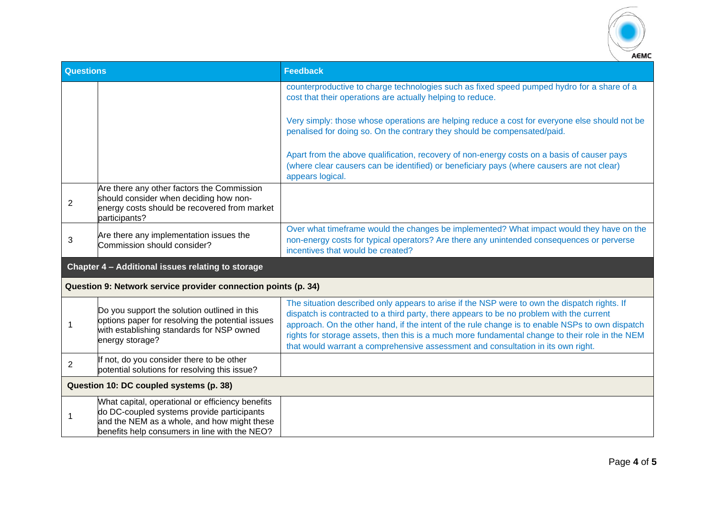

| <b>Questions</b>                                  |                                                                                                                                                                                                | <b>Feedback</b>                                                                                                                                                                                                                                                                                                                                                                                                                                                                    |
|---------------------------------------------------|------------------------------------------------------------------------------------------------------------------------------------------------------------------------------------------------|------------------------------------------------------------------------------------------------------------------------------------------------------------------------------------------------------------------------------------------------------------------------------------------------------------------------------------------------------------------------------------------------------------------------------------------------------------------------------------|
|                                                   |                                                                                                                                                                                                | counterproductive to charge technologies such as fixed speed pumped hydro for a share of a<br>cost that their operations are actually helping to reduce.                                                                                                                                                                                                                                                                                                                           |
|                                                   |                                                                                                                                                                                                | Very simply: those whose operations are helping reduce a cost for everyone else should not be<br>penalised for doing so. On the contrary they should be compensated/paid.                                                                                                                                                                                                                                                                                                          |
|                                                   |                                                                                                                                                                                                | Apart from the above qualification, recovery of non-energy costs on a basis of causer pays<br>(where clear causers can be identified) or beneficiary pays (where causers are not clear)<br>appears logical.                                                                                                                                                                                                                                                                        |
| 2                                                 | Are there any other factors the Commission<br>should consider when deciding how non-<br>energy costs should be recovered from market<br>participants?                                          |                                                                                                                                                                                                                                                                                                                                                                                                                                                                                    |
| 3                                                 | Are there any implementation issues the<br>Commission should consider?                                                                                                                         | Over what timeframe would the changes be implemented? What impact would they have on the<br>non-energy costs for typical operators? Are there any unintended consequences or perverse<br>incentives that would be created?                                                                                                                                                                                                                                                         |
| Chapter 4 - Additional issues relating to storage |                                                                                                                                                                                                |                                                                                                                                                                                                                                                                                                                                                                                                                                                                                    |
|                                                   | Question 9: Network service provider connection points (p. 34)                                                                                                                                 |                                                                                                                                                                                                                                                                                                                                                                                                                                                                                    |
| -1                                                | Do you support the solution outlined in this<br>options paper for resolving the potential issues<br>with establishing standards for NSP owned<br>energy storage?                               | The situation described only appears to arise if the NSP were to own the dispatch rights. If<br>dispatch is contracted to a third party, there appears to be no problem with the current<br>approach. On the other hand, if the intent of the rule change is to enable NSPs to own dispatch<br>rights for storage assets, then this is a much more fundamental change to their role in the NEM<br>that would warrant a comprehensive assessment and consultation in its own right. |
| $\overline{2}$                                    | If not, do you consider there to be other<br>potential solutions for resolving this issue?                                                                                                     |                                                                                                                                                                                                                                                                                                                                                                                                                                                                                    |
| Question 10: DC coupled systems (p. 38)           |                                                                                                                                                                                                |                                                                                                                                                                                                                                                                                                                                                                                                                                                                                    |
|                                                   | What capital, operational or efficiency benefits<br>do DC-coupled systems provide participants<br>and the NEM as a whole, and how might these<br>benefits help consumers in line with the NEO? |                                                                                                                                                                                                                                                                                                                                                                                                                                                                                    |